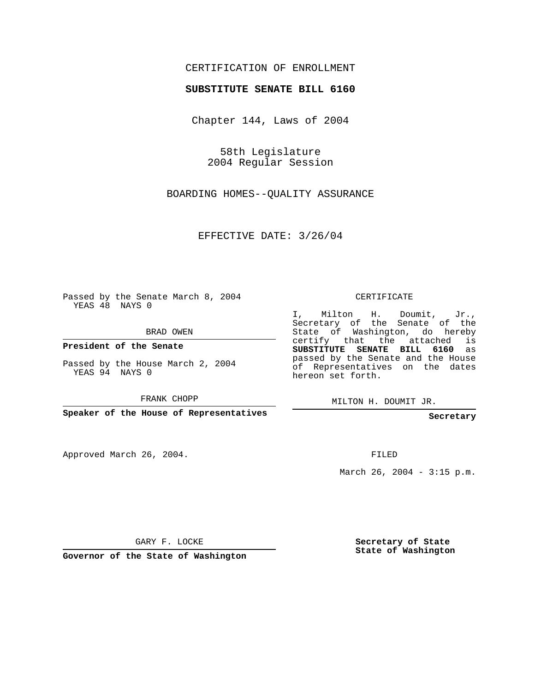## CERTIFICATION OF ENROLLMENT

## **SUBSTITUTE SENATE BILL 6160**

Chapter 144, Laws of 2004

58th Legislature 2004 Regular Session

BOARDING HOMES--QUALITY ASSURANCE

EFFECTIVE DATE: 3/26/04

Passed by the Senate March 8, 2004 YEAS 48 NAYS 0

BRAD OWEN

**President of the Senate**

Passed by the House March 2, 2004 YEAS 94 NAYS 0

FRANK CHOPP

**Speaker of the House of Representatives**

Approved March 26, 2004.

CERTIFICATE

I, Milton H. Doumit, Jr., Secretary of the Senate of the State of Washington, do hereby certify that the attached is **SUBSTITUTE SENATE BILL 6160** as passed by the Senate and the House of Representatives on the dates hereon set forth.

MILTON H. DOUMIT JR.

**Secretary**

FILED

March 26, 2004 - 3:15 p.m.

GARY F. LOCKE

**Governor of the State of Washington**

**Secretary of State State of Washington**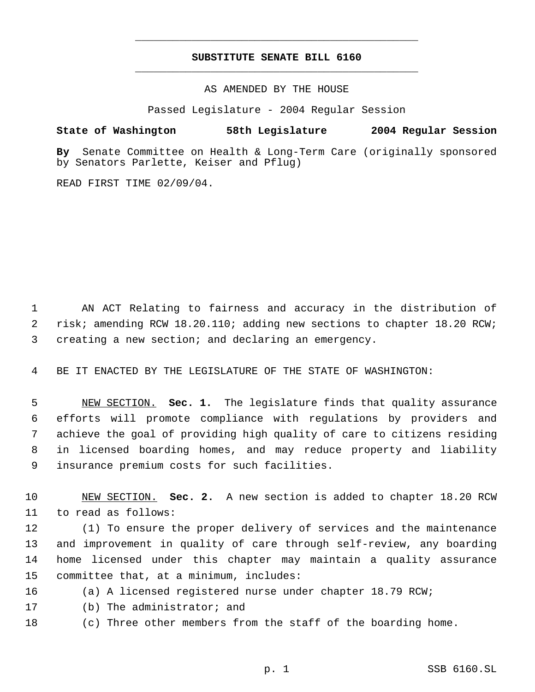## **SUBSTITUTE SENATE BILL 6160** \_\_\_\_\_\_\_\_\_\_\_\_\_\_\_\_\_\_\_\_\_\_\_\_\_\_\_\_\_\_\_\_\_\_\_\_\_\_\_\_\_\_\_\_\_

\_\_\_\_\_\_\_\_\_\_\_\_\_\_\_\_\_\_\_\_\_\_\_\_\_\_\_\_\_\_\_\_\_\_\_\_\_\_\_\_\_\_\_\_\_

AS AMENDED BY THE HOUSE

Passed Legislature - 2004 Regular Session

## **State of Washington 58th Legislature 2004 Regular Session**

**By** Senate Committee on Health & Long-Term Care (originally sponsored by Senators Parlette, Keiser and Pflug)

READ FIRST TIME 02/09/04.

 AN ACT Relating to fairness and accuracy in the distribution of 2 risk; amending RCW 18.20.110; adding new sections to chapter 18.20 RCW; creating a new section; and declaring an emergency.

BE IT ENACTED BY THE LEGISLATURE OF THE STATE OF WASHINGTON:

 NEW SECTION. **Sec. 1.** The legislature finds that quality assurance efforts will promote compliance with regulations by providers and achieve the goal of providing high quality of care to citizens residing in licensed boarding homes, and may reduce property and liability insurance premium costs for such facilities.

 NEW SECTION. **Sec. 2.** A new section is added to chapter 18.20 RCW to read as follows:

 (1) To ensure the proper delivery of services and the maintenance and improvement in quality of care through self-review, any boarding home licensed under this chapter may maintain a quality assurance committee that, at a minimum, includes:

(a) A licensed registered nurse under chapter 18.79 RCW;

(b) The administrator; and

(c) Three other members from the staff of the boarding home.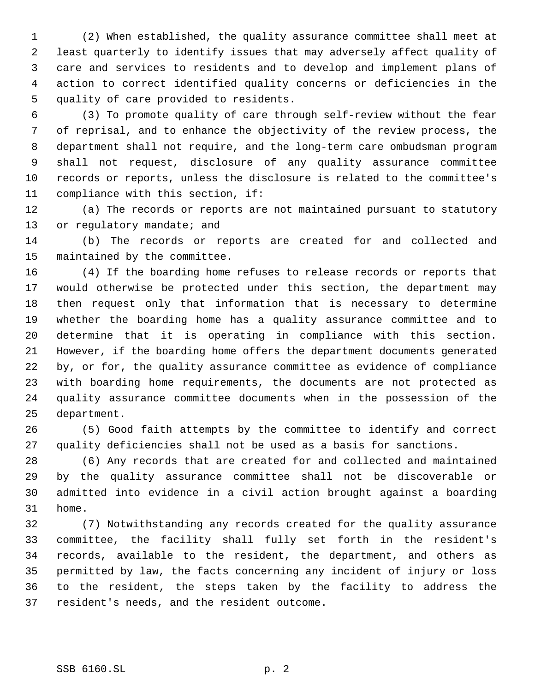(2) When established, the quality assurance committee shall meet at least quarterly to identify issues that may adversely affect quality of care and services to residents and to develop and implement plans of action to correct identified quality concerns or deficiencies in the quality of care provided to residents.

 (3) To promote quality of care through self-review without the fear of reprisal, and to enhance the objectivity of the review process, the department shall not require, and the long-term care ombudsman program shall not request, disclosure of any quality assurance committee records or reports, unless the disclosure is related to the committee's compliance with this section, if:

 (a) The records or reports are not maintained pursuant to statutory 13 or regulatory mandate; and

 (b) The records or reports are created for and collected and maintained by the committee.

 (4) If the boarding home refuses to release records or reports that would otherwise be protected under this section, the department may then request only that information that is necessary to determine whether the boarding home has a quality assurance committee and to determine that it is operating in compliance with this section. However, if the boarding home offers the department documents generated by, or for, the quality assurance committee as evidence of compliance with boarding home requirements, the documents are not protected as quality assurance committee documents when in the possession of the department.

 (5) Good faith attempts by the committee to identify and correct quality deficiencies shall not be used as a basis for sanctions.

 (6) Any records that are created for and collected and maintained by the quality assurance committee shall not be discoverable or admitted into evidence in a civil action brought against a boarding home.

 (7) Notwithstanding any records created for the quality assurance committee, the facility shall fully set forth in the resident's records, available to the resident, the department, and others as permitted by law, the facts concerning any incident of injury or loss to the resident, the steps taken by the facility to address the resident's needs, and the resident outcome.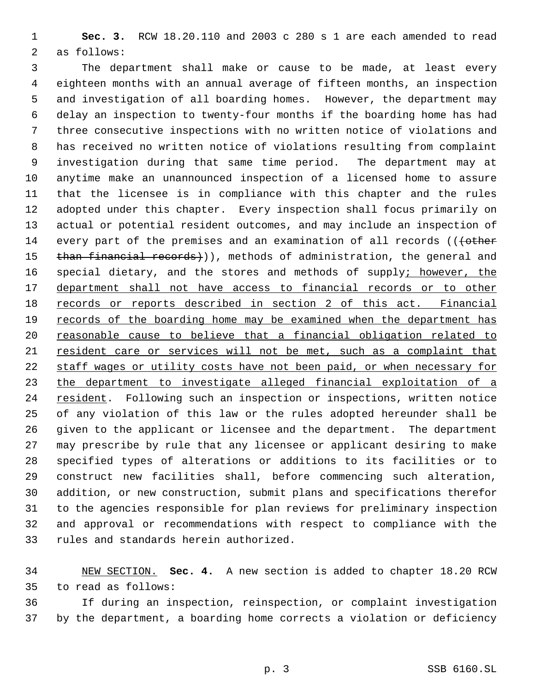**Sec. 3.** RCW 18.20.110 and 2003 c 280 s 1 are each amended to read as follows:

 The department shall make or cause to be made, at least every eighteen months with an annual average of fifteen months, an inspection and investigation of all boarding homes. However, the department may delay an inspection to twenty-four months if the boarding home has had three consecutive inspections with no written notice of violations and has received no written notice of violations resulting from complaint investigation during that same time period. The department may at anytime make an unannounced inspection of a licensed home to assure that the licensee is in compliance with this chapter and the rules adopted under this chapter. Every inspection shall focus primarily on actual or potential resident outcomes, and may include an inspection of 14 every part of the premises and an examination of all records (( $\left\{\text{other}\right\}$ 15 than financial records))), methods of administration, the general and 16 special dietary, and the stores and methods of supply; however, the 17 department shall not have access to financial records or to other records or reports described in section 2 of this act. Financial 19 records of the boarding home may be examined when the department has 20 reasonable cause to believe that a financial obligation related to resident care or services will not be met, such as a complaint that staff wages or utility costs have not been paid, or when necessary for the department to investigate alleged financial exploitation of a 24 resident. Following such an inspection or inspections, written notice of any violation of this law or the rules adopted hereunder shall be given to the applicant or licensee and the department. The department may prescribe by rule that any licensee or applicant desiring to make specified types of alterations or additions to its facilities or to construct new facilities shall, before commencing such alteration, addition, or new construction, submit plans and specifications therefor to the agencies responsible for plan reviews for preliminary inspection and approval or recommendations with respect to compliance with the rules and standards herein authorized.

 NEW SECTION. **Sec. 4.** A new section is added to chapter 18.20 RCW to read as follows:

 If during an inspection, reinspection, or complaint investigation by the department, a boarding home corrects a violation or deficiency